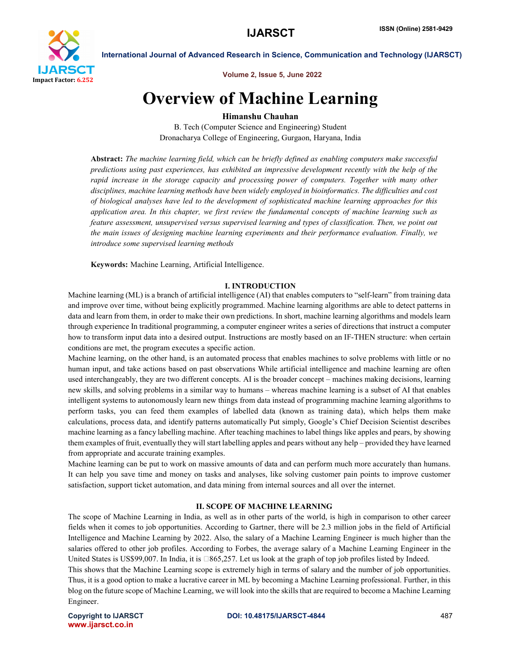

Volume 2, Issue 5, June 2022

# Overview of Machine Learning

# Himanshu Chauhan

B. Tech (Computer Science and Engineering) Student Dronacharya College of Engineering, Gurgaon, Haryana, India

Abstract: *The machine learning field, which can be briefly defined as enabling computers make successful predictions using past experiences, has exhibited an impressive development recently with the help of the rapid increase in the storage capacity and processing power of computers. Together with many other disciplines, machine learning methods have been widely employed in bioinformatics. The difficulties and cost of biological analyses have led to the development of sophisticated machine learning approaches for this application area. In this chapter, we first review the fundamental concepts of machine learning such as feature assessment, unsupervised versus supervised learning and types of classification. Then, we point out the main issues of designing machine learning experiments and their performance evaluation. Finally, we introduce some supervised learning methods*

Keywords: Machine Learning, Artificial Intelligence.

#### I. INTRODUCTION

Machine learning (ML) is a branch of artificial intelligence (AI) that enables computers to "self-learn" from training data and improve over time, without being explicitly programmed. Machine learning algorithms are able to detect patterns in data and learn from them, in order to make their own predictions. In short, machine learning algorithms and models learn through experience In traditional programming, a computer engineer writes a series of directions that instruct a computer how to transform input data into a desired output. Instructions are mostly based on an IF-THEN structure: when certain conditions are met, the program executes a specific action.

Machine learning, on the other hand, is an automated process that enables machines to solve problems with little or no human input, and take actions based on past observations While artificial intelligence and machine learning are often used interchangeably, they are two different concepts. AI is the broader concept – machines making decisions, learning new skills, and solving problems in a similar way to humans – whereas machine learning is a subset of AI that enables intelligent systems to autonomously learn new things from data instead of programming machine learning algorithms to perform tasks, you can feed them examples of labelled data (known as training data), which helps them make calculations, process data, and identify patterns automatically Put simply, Google's Chief Decision Scientist describes machine learning as a fancy labelling machine. After teaching machines to label things like apples and pears, by showing them examples of fruit, eventually they will start labelling apples and pears without any help – provided they have learned from appropriate and accurate training examples.

Machine learning can be put to work on massive amounts of data and can perform much more accurately than humans. It can help you save time and money on tasks and analyses, like solving customer pain points to improve customer satisfaction, support ticket automation, and data mining from internal sources and all over the internet.

#### II. SCOPE OF MACHINE LEARNING

The scope of Machine Learning in India, as well as in other parts of the world, is high in comparison to other career fields when it comes to job opportunities. According to Gartner, there will be 2.3 million jobs in the field of Artificial Intelligence and Machine Learning by 2022. Also, the salary of a Machine Learning Engineer is much higher than the salaries offered to other job profiles. According to Forbes, the average salary of a Machine Learning Engineer in the United States is US\$99,007. In India, it is  $\square 865,257$ . Let us look at the graph of top job profiles listed by Indeed.

This shows that the Machine Learning scope is extremely high in terms of salary and the number of job opportunities. Thus, it is a good option to make a lucrative career in ML by becoming a Machine Learning professional. Further, in this blog on the future scope of Machine Learning, we will look into the skills that are required to become a Machine Learning Engineer.

www.ijarsct.co.in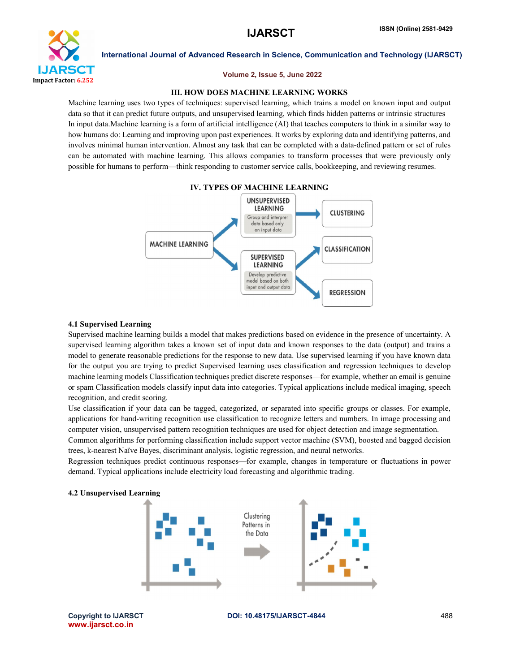

#### Volume 2, Issue 5, June 2022

### III. HOW DOES MACHINE LEARNING WORKS

Machine learning uses two types of techniques: supervised learning, which trains a model on known input and output data so that it can predict future outputs, and unsupervised learning, which finds hidden patterns or intrinsic structures In input data.Machine learning is a form of artificial intelligence (AI) that teaches computers to think in a similar way to how humans do: Learning and improving upon past experiences. It works by exploring data and identifying patterns, and involves minimal human intervention. Almost any task that can be completed with a data-defined pattern or set of rules can be automated with machine learning. This allows companies to transform processes that were previously only possible for humans to perform—think responding to customer service calls, bookkeeping, and reviewing resumes.



#### 4.1 Supervised Learning

Supervised machine learning builds a model that makes predictions based on evidence in the presence of uncertainty. A supervised learning algorithm takes a known set of input data and known responses to the data (output) and trains a model to generate reasonable predictions for the response to new data. Use supervised learning if you have known data for the output you are trying to predict Supervised learning uses classification and regression techniques to develop machine learning models Classification techniques predict discrete responses—for example, whether an email is genuine or spam Classification models classify input data into categories. Typical applications include medical imaging, speech recognition, and credit scoring.

Use classification if your data can be tagged, categorized, or separated into specific groups or classes. For example, applications for hand-writing recognition use classification to recognize letters and numbers. In image processing and computer vision, unsupervised pattern recognition techniques are used for object detection and image segmentation.

Common algorithms for performing classification include support vector machine (SVM), boosted and bagged decision trees, k-nearest Naïve Bayes, discriminant analysis, logistic regression, and neural networks.

Regression techniques predict continuous responses—for example, changes in temperature or fluctuations in power demand. Typical applications include electricity load forecasting and algorithmic trading.



www.ijarsct.co.in

Copyright to IJARSCT **DOI: 10.48175/IJARSCT-4844** 488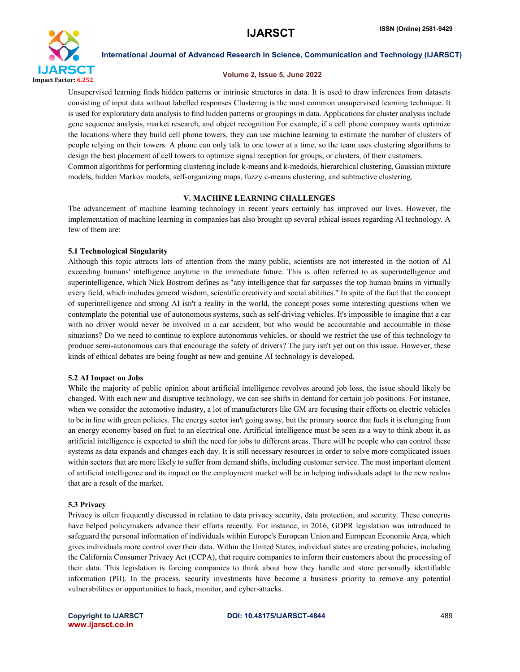

#### Volume 2, Issue 5, June 2022

Unsupervised learning finds hidden patterns or intrinsic structures in data. It is used to draw inferences from datasets consisting of input data without labelled responses Clustering is the most common unsupervised learning technique. It is used for exploratory data analysis to find hidden patterns or groupings in data. Applications for cluster analysis include gene sequence analysis, market research, and object recognition For example, if a cell phone company wants optimize the locations where they build cell phone towers, they can use machine learning to estimate the number of clusters of people relying on their towers. A phone can only talk to one tower at a time, so the team uses clustering algorithms to design the best placement of cell towers to optimize signal reception for groups, or clusters, of their customers. Common algorithms for performing clustering include k-means and k-medoids, hierarchical clustering, Gaussian mixture models, hidden Markov models, self-organizing maps, fuzzy c-means clustering, and subtractive clustering.

### V. MACHINE LEARNING CHALLENGES

The advancement of machine learning technology in recent years certainly has improved our lives. However, the implementation of machine learning in companies has also brought up several ethical issues regarding AI technology. A few of them are:

### 5.1 Technological Singularity

Although this topic attracts lots of attention from the many public, scientists are not interested in the notion of AI exceeding humans' intelligence anytime in the immediate future. This is often referred to as superintelligence and superintelligence, which Nick Bostrom defines as "any intelligence that far surpasses the top human brains in virtually every field, which includes general wisdom, scientific creativity and social abilities." In spite of the fact that the concept of superintelligence and strong AI isn't a reality in the world, the concept poses some interesting questions when we contemplate the potential use of autonomous systems, such as self-driving vehicles. It's impossible to imagine that a car with no driver would never be involved in a car accident, but who would be accountable and accountable in those situations? Do we need to continue to explore autonomous vehicles, or should we restrict the use of this technology to produce semi-autonomous cars that encourage the safety of drivers? The jury isn't yet out on this issue. However, these kinds of ethical debates are being fought as new and genuine AI technology is developed.

### 5.2 AI Impact on Jobs

While the majority of public opinion about artificial intelligence revolves around job loss, the issue should likely be changed. With each new and disruptive technology, we can see shifts in demand for certain job positions. For instance, when we consider the automotive industry, a lot of manufacturers like GM are focusing their efforts on electric vehicles to be in line with green policies. The energy sector isn't going away, but the primary source that fuels it is changing from an energy economy based on fuel to an electrical one. Artificial intelligence must be seen as a way to think about it, as artificial intelligence is expected to shift the need for jobs to different areas. There will be people who can control these systems as data expands and changes each day. It is still necessary resources in order to solve more complicated issues within sectors that are more likely to suffer from demand shifts, including customer service. The most important element of artificial intelligence and its impact on the employment market will be in helping individuals adapt to the new realms that are a result of the market.

### 5.3 Privacy

Privacy is often frequently discussed in relation to data privacy security, data protection, and security. These concerns have helped policymakers advance their efforts recently. For instance, in 2016, GDPR legislation was introduced to safeguard the personal information of individuals within Europe's European Union and European Economic Area, which gives individuals more control over their data. Within the United States, individual states are creating policies, including the California Consumer Privacy Act (CCPA), that require companies to inform their customers about the processing of their data. This legislation is forcing companies to think about how they handle and store personally identifiable information (PII). In the process, security investments have become a business priority to remove any potential vulnerabilities or opportunities to hack, monitor, and cyber-attacks.

www.ijarsct.co.in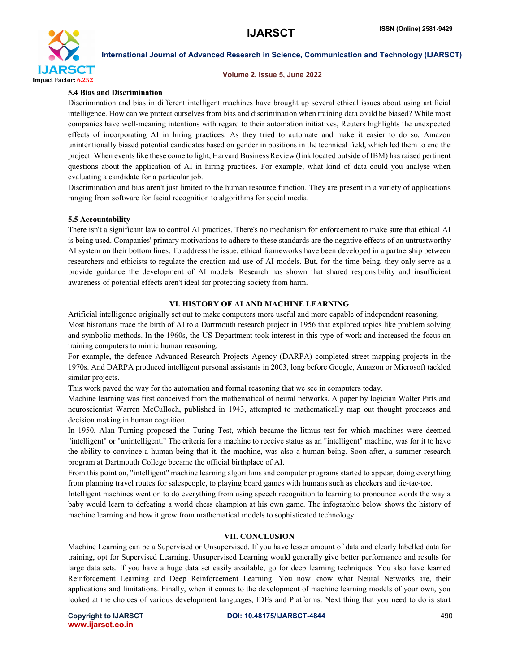

#### Volume 2, Issue 5, June 2022

#### 5.4 Bias and Discrimination

Discrimination and bias in different intelligent machines have brought up several ethical issues about using artificial intelligence. How can we protect ourselves from bias and discrimination when training data could be biased? While most companies have well-meaning intentions with regard to their automation initiatives, Reuters highlights the unexpected effects of incorporating AI in hiring practices. As they tried to automate and make it easier to do so, Amazon unintentionally biased potential candidates based on gender in positions in the technical field, which led them to end the project. When events like these come to light, Harvard Business Review (link located outside of IBM) has raised pertinent questions about the application of AI in hiring practices. For example, what kind of data could you analyse when evaluating a candidate for a particular job.

Discrimination and bias aren't just limited to the human resource function. They are present in a variety of applications ranging from software for facial recognition to algorithms for social media.

#### 5.5 Accountability

There isn't a significant law to control AI practices. There's no mechanism for enforcement to make sure that ethical AI is being used. Companies' primary motivations to adhere to these standards are the negative effects of an untrustworthy AI system on their bottom lines. To address the issue, ethical frameworks have been developed in a partnership between researchers and ethicists to regulate the creation and use of AI models. But, for the time being, they only serve as a provide guidance the development of AI models. Research has shown that shared responsibility and insufficient awareness of potential effects aren't ideal for protecting society from harm.

#### VI. HISTORY OF AI AND MACHINE LEARNING

Artificial intelligence originally set out to make computers more useful and more capable of independent reasoning. Most historians trace the birth of AI to a Dartmouth research project in 1956 that explored topics like problem solving and symbolic methods. In the 1960s, the US Department took interest in this type of work and increased the focus on training computers to mimic human reasoning.

For example, the defence Advanced Research Projects Agency (DARPA) completed street mapping projects in the 1970s. And DARPA produced intelligent personal assistants in 2003, long before Google, Amazon or Microsoft tackled similar projects.

This work paved the way for the automation and formal reasoning that we see in computers today.

Machine learning was first conceived from the mathematical of neural networks. A paper by logician Walter Pitts and neuroscientist Warren McCulloch, published in 1943, attempted to mathematically map out thought processes and decision making in human cognition.

In 1950, Alan Turning proposed the Turing Test, which became the litmus test for which machines were deemed "intelligent" or "unintelligent." The criteria for a machine to receive status as an "intelligent" machine, was for it to have the ability to convince a human being that it, the machine, was also a human being. Soon after, a summer research program at Dartmouth College became the official birthplace of AI.

From this point on, "intelligent" machine learning algorithms and computer programs started to appear, doing everything from planning travel routes for salespeople, to playing board games with humans such as checkers and tic-tac-toe.

Intelligent machines went on to do everything from using speech recognition to learning to pronounce words the way a baby would learn to defeating a world chess champion at his own game. The infographic below shows the history of machine learning and how it grew from mathematical models to sophisticated technology.

#### VII. CONCLUSION

Machine Learning can be a Supervised or Unsupervised. If you have lesser amount of data and clearly labelled data for training, opt for Supervised Learning. Unsupervised Learning would generally give better performance and results for large data sets. If you have a huge data set easily available, go for deep learning techniques. You also have learned Reinforcement Learning and Deep Reinforcement Learning. You now know what Neural Networks are, their applications and limitations. Finally, when it comes to the development of machine learning models of your own, you looked at the choices of various development languages, IDEs and Platforms. Next thing that you need to do is start

www.ijarsct.co.in